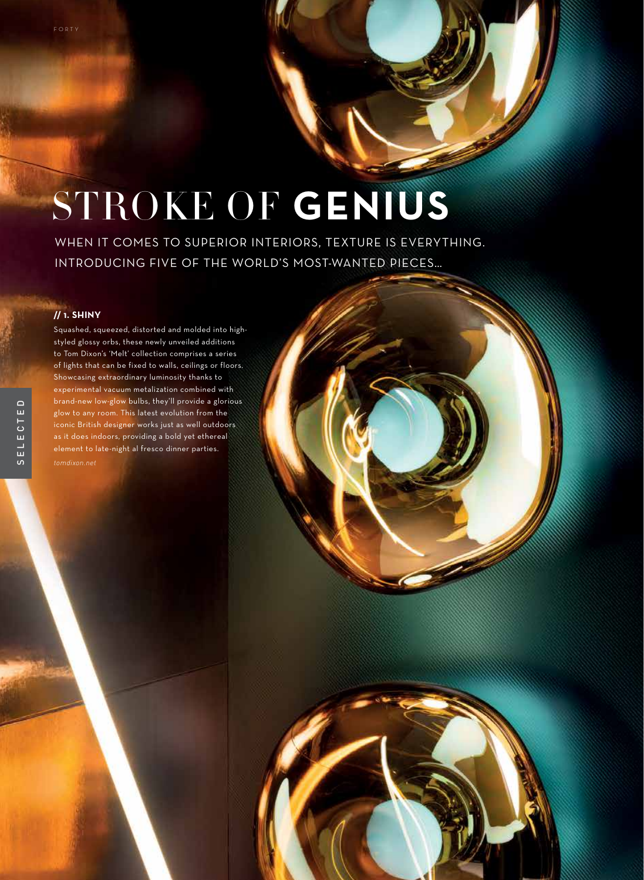# STROKE OF **GENIUS**

WHEN IT COMES TO SUPERIOR INTERIORS, TEXTURE IS EVERYTHING. INTRODUCING FIVE OF THE WORLD'S MOST-WANTED PIECES…

#### **// 1. SHINY**

Squashed, squeezed, distorted and molded into highstyled glossy orbs, these newly unveiled additions to Tom Dixon's 'Melt' collection comprises a series of lights that can be fixed to walls, ceilings or floors. Showcasing extraordinary luminosity thanks to experimental vacuum metalization combined with brand-new low-glow bulbs, they'll provide a glorious glow to any room. This latest evolution from the iconic British designer works just as well outdoors as it does indoors, providing a bold yet ethereal element to late-night al fresco dinner parties.